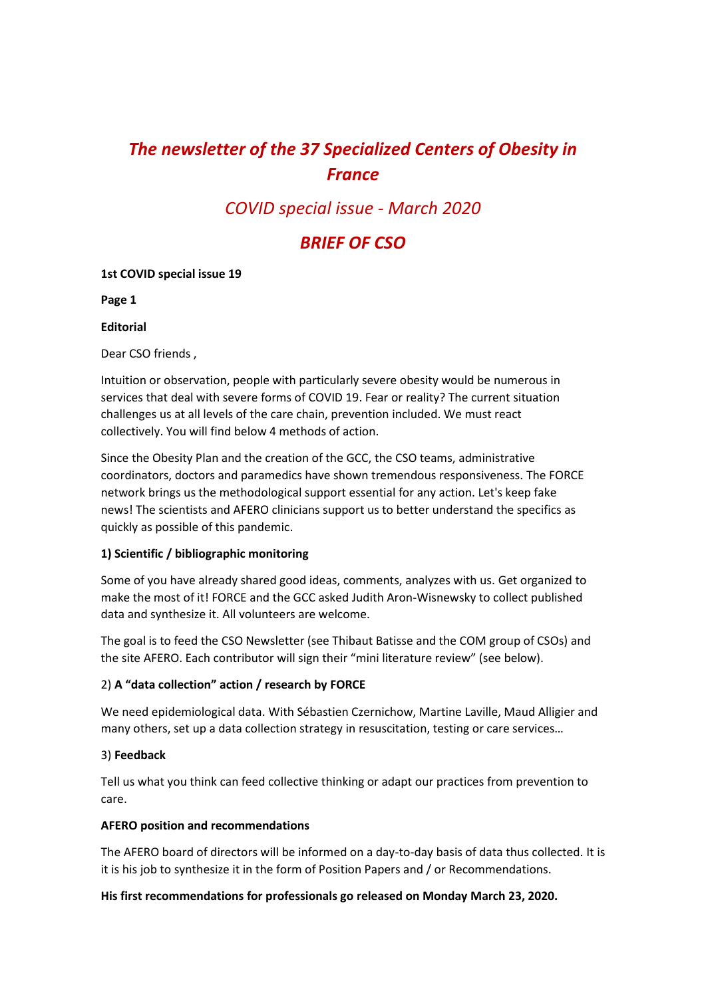# *The newsletter of the 37 Specialized Centers of Obesity in France*

## *COVID special issue - March 2020*

## *BRIEF OF CSO*

### **1st COVID special issue 19**

**Page 1**

### **Editorial**

Dear CSO friends ,

Intuition or observation, people with particularly severe obesity would be numerous in services that deal with severe forms of COVID 19. Fear or reality? The current situation challenges us at all levels of the care chain, prevention included. We must react collectively. You will find below 4 methods of action.

Since the Obesity Plan and the creation of the GCC, the CSO teams, administrative coordinators, doctors and paramedics have shown tremendous responsiveness. The FORCE network brings us the methodological support essential for any action. Let's keep fake news! The scientists and AFERO clinicians support us to better understand the specifics as quickly as possible of this pandemic.

## **1) Scientific / bibliographic monitoring**

Some of you have already shared good ideas, comments, analyzes with us. Get organized to make the most of it! FORCE and the GCC asked Judith Aron-Wisnewsky to collect published data and synthesize it. All volunteers are welcome.

The goal is to feed the CSO Newsletter (see Thibaut Batisse and the COM group of CSOs) and the site AFERO. Each contributor will sign their "mini literature review" (see below).

## 2) **A "data collection" action / research by FORCE**

We need epidemiological data. With Sébastien Czernichow, Martine Laville, Maud Alligier and many others, set up a data collection strategy in resuscitation, testing or care services…

## 3) **Feedback**

Tell us what you think can feed collective thinking or adapt our practices from prevention to care.

### **AFERO position and recommendations**

The AFERO board of directors will be informed on a day-to-day basis of data thus collected. It is it is his job to synthesize it in the form of Position Papers and / or Recommendations.

## **His first recommendations for professionals go released on Monday March 23, 2020.**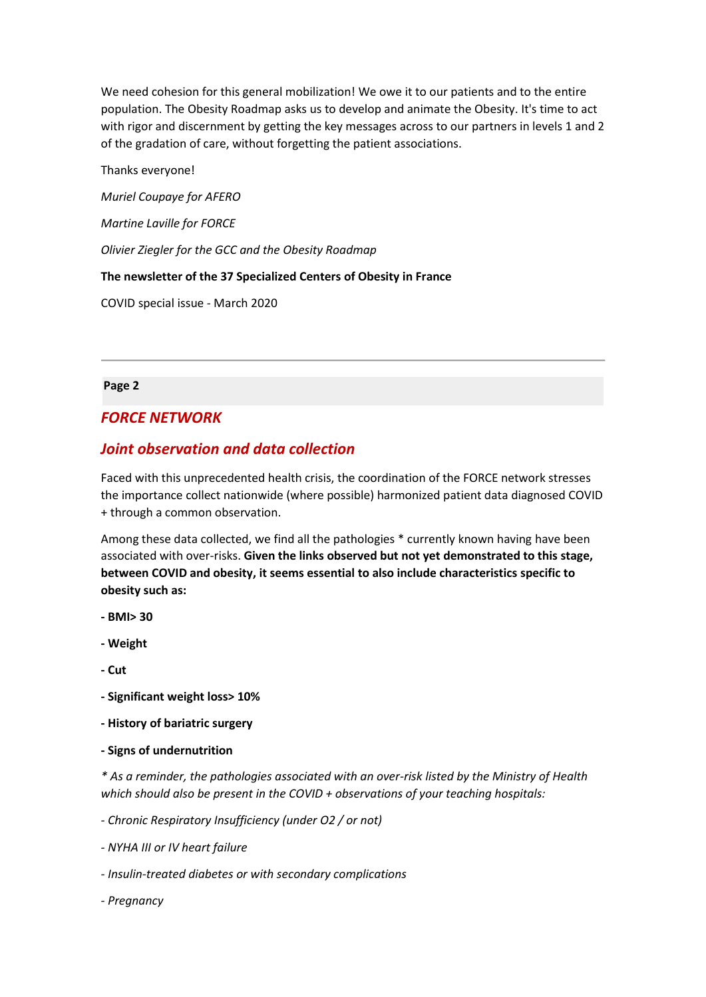We need cohesion for this general mobilization! We owe it to our patients and to the entire population. The Obesity Roadmap asks us to develop and animate the Obesity. It's time to act with rigor and discernment by getting the key messages across to our partners in levels 1 and 2 of the gradation of care, without forgetting the patient associations.

Thanks everyone!

*Muriel Coupaye for AFERO*

*Martine Laville for FORCE*

*Olivier Ziegler for the GCC and the Obesity Roadmap*

**The newsletter of the 37 Specialized Centers of Obesity in France**

COVID special issue - March 2020

**Page 2**

## *FORCE NETWORK*

## *Joint observation and data collection*

Faced with this unprecedented health crisis, the coordination of the FORCE network stresses the importance collect nationwide (where possible) harmonized patient data diagnosed COVID + through a common observation.

Among these data collected, we find all the pathologies \* currently known having have been associated with over-risks. **Given the links observed but not yet demonstrated to this stage, between COVID and obesity, it seems essential to also include characteristics specific to obesity such as:**

- **- BMI> 30**
- **- Weight**
- **- Cut**
- **- Significant weight loss> 10%**
- **- History of bariatric surgery**
- **- Signs of undernutrition**

*\* As a reminder, the pathologies associated with an over-risk listed by the Ministry of Health which should also be present in the COVID + observations of your teaching hospitals:*

*- Chronic Respiratory Insufficiency (under O2 / or not)*

- *- NYHA III or IV heart failure*
- *- Insulin-treated diabetes or with secondary complications*
- *- Pregnancy*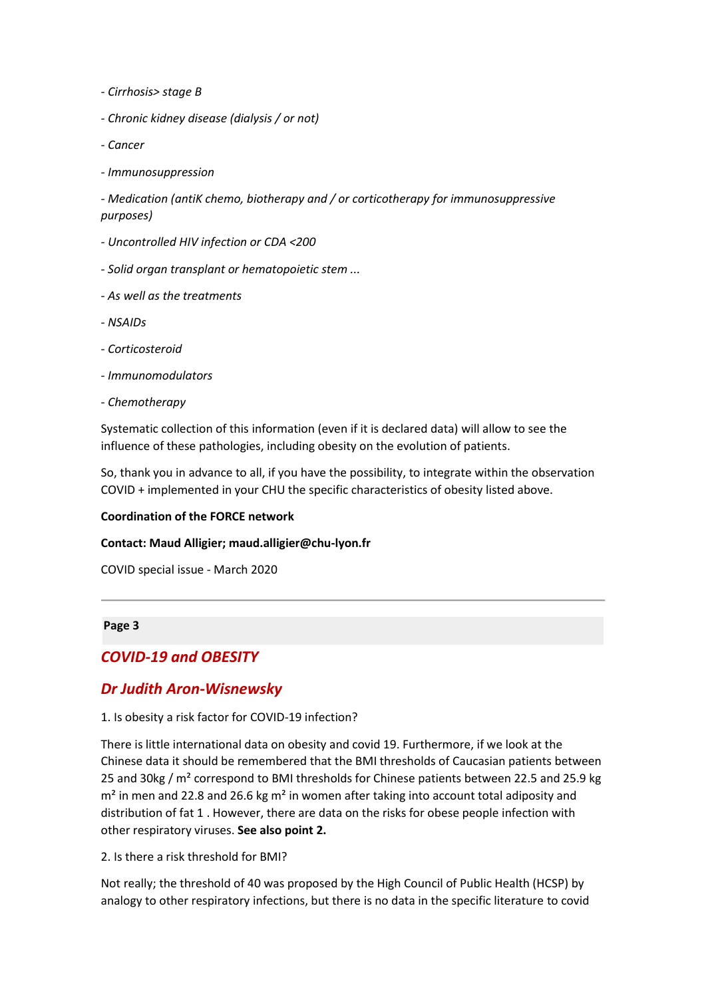- *- Cirrhosis> stage B*
- *- Chronic kidney disease (dialysis / or not)*
- *- Cancer*
- *- Immunosuppression*

*- Medication (antiK chemo, biotherapy and / or corticotherapy for immunosuppressive purposes)*

- *- Uncontrolled HIV infection or CDA <200*
- *- Solid organ transplant or hematopoietic stem ...*
- *- As well as the treatments*
- *- NSAIDs*
- *- Corticosteroid*
- *- Immunomodulators*
- *- Chemotherapy*

Systematic collection of this information (even if it is declared data) will allow to see the influence of these pathologies, including obesity on the evolution of patients.

So, thank you in advance to all, if you have the possibility, to integrate within the observation COVID + implemented in your CHU the specific characteristics of obesity listed above.

#### **Coordination of the FORCE network**

#### **Contact: Maud Alligier; maud.alligier@chu-lyon.fr**

COVID special issue - March 2020

#### **Page 3**

## *COVID-19 and OBESITY*

## *Dr Judith Aron-Wisnewsky*

### 1. Is obesity a risk factor for COVID-19 infection?

There is little international data on obesity and covid 19. Furthermore, if we look at the Chinese data it should be remembered that the BMI thresholds of Caucasian patients between 25 and 30kg / m<sup>2</sup> correspond to BMI thresholds for Chinese patients between 22.5 and 25.9 kg  $m<sup>2</sup>$  in men and 22.8 and 26.6 kg m<sup>2</sup> in women after taking into account total adiposity and distribution of fat 1 . However, there are data on the risks for obese people infection with other respiratory viruses. **See also point 2.**

2. Is there a risk threshold for BMI?

Not really; the threshold of 40 was proposed by the High Council of Public Health (HCSP) by analogy to other respiratory infections, but there is no data in the specific literature to covid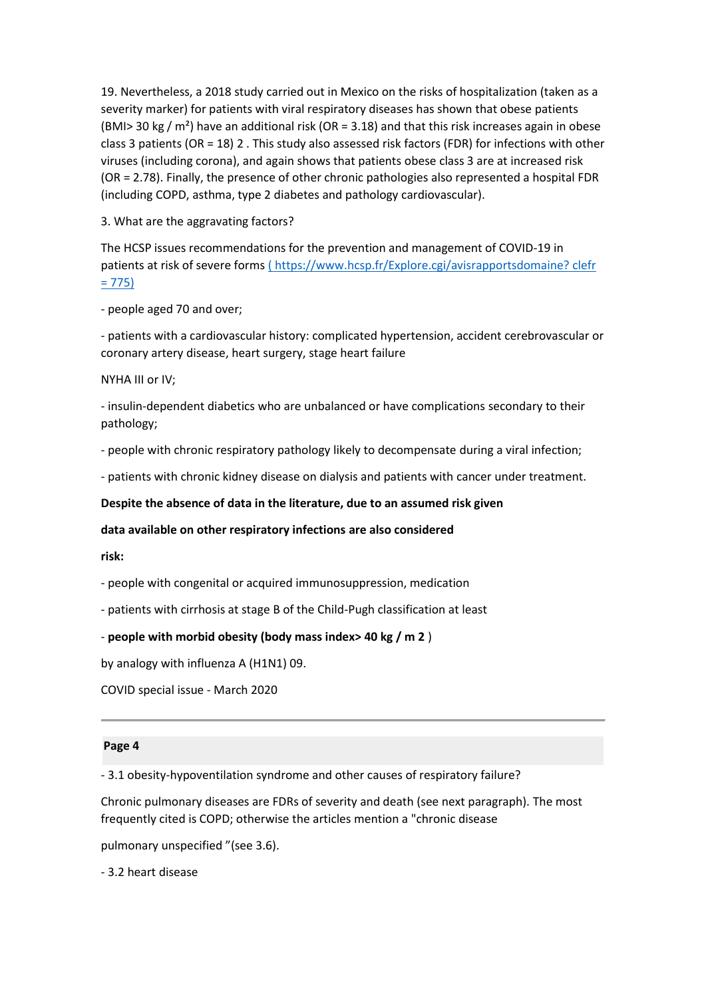19. Nevertheless, a 2018 study carried out in Mexico on the risks of hospitalization (taken as a severity marker) for patients with viral respiratory diseases has shown that obese patients (BMI> 30 kg /  $m<sup>2</sup>$ ) have an additional risk (OR = 3.18) and that this risk increases again in obese class 3 patients (OR = 18) 2 . This study also assessed risk factors (FDR) for infections with other viruses (including corona), and again shows that patients obese class 3 are at increased risk (OR = 2.78). Finally, the presence of other chronic pathologies also represented a hospital FDR (including COPD, asthma, type 2 diabetes and pathology cardiovascular).

3. What are the aggravating factors?

The HCSP issues recommendations for the prevention and management of COVID-19 in patients at risk of severe forms [\(](https://translate.google.com/translate?hl=en&prev=_t&sl=auto&tl=en&u=https://www.hcsp.fr/Explore.cgi/avisrapportsdomaine%3F%2520clefr%3D775) [https://www.hcsp.fr/Explore.cgi/avisrapportsdomaine? clefr](https://translate.google.com/translate?hl=en&prev=_t&sl=auto&tl=en&u=https://www.hcsp.fr/Explore.cgi/avisrapportsdomaine%3F%2520clefr%3D775)   $= 775$ 

- people aged 70 and over;

- patients with a cardiovascular history: complicated hypertension, accident cerebrovascular or coronary artery disease, heart surgery, stage heart failure

NYHA III or IV;

- insulin-dependent diabetics who are unbalanced or have complications secondary to their pathology;

- people with chronic respiratory pathology likely to decompensate during a viral infection;

- patients with chronic kidney disease on dialysis and patients with cancer under treatment.

**Despite the absence of data in the literature, due to an assumed risk given**

**data available on other respiratory infections are also considered**

**risk:**

- people with congenital or acquired immunosuppression, medication

- patients with cirrhosis at stage B of the Child-Pugh classification at least

### - **people with morbid obesity (body mass index> 40 kg / m 2** )

by analogy with influenza A (H1N1) 09.

COVID special issue - March 2020

#### **Page 4**

- 3.1 obesity-hypoventilation syndrome and other causes of respiratory failure?

Chronic pulmonary diseases are FDRs of severity and death (see next paragraph). The most frequently cited is COPD; otherwise the articles mention a "chronic disease

pulmonary unspecified "(see 3.6).

- 3.2 heart disease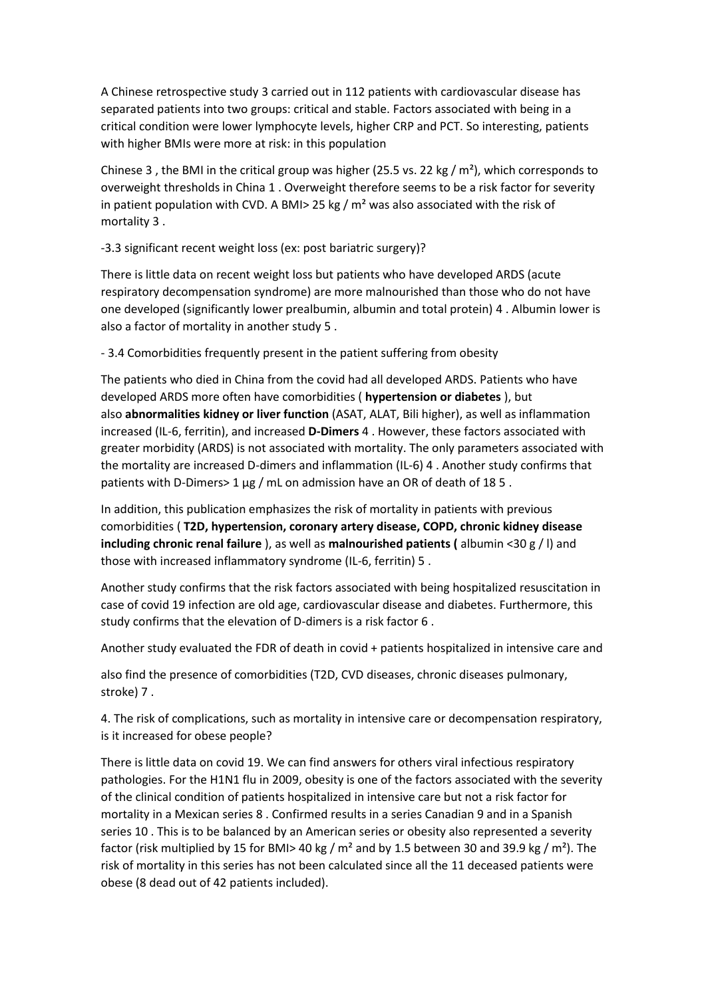A Chinese retrospective study 3 carried out in 112 patients with cardiovascular disease has separated patients into two groups: critical and stable. Factors associated with being in a critical condition were lower lymphocyte levels, higher CRP and PCT. So interesting, patients with higher BMIs were more at risk: in this population

Chinese 3, the BMI in the critical group was higher (25.5 vs. 22 kg /  $m<sup>2</sup>$ ), which corresponds to overweight thresholds in China 1 . Overweight therefore seems to be a risk factor for severity in patient population with CVD. A BMI > 25 kg /  $m<sup>2</sup>$  was also associated with the risk of mortality 3 .

-3.3 significant recent weight loss (ex: post bariatric surgery)?

There is little data on recent weight loss but patients who have developed ARDS (acute respiratory decompensation syndrome) are more malnourished than those who do not have one developed (significantly lower prealbumin, albumin and total protein) 4 . Albumin lower is also a factor of mortality in another study 5 .

- 3.4 Comorbidities frequently present in the patient suffering from obesity

The patients who died in China from the covid had all developed ARDS. Patients who have developed ARDS more often have comorbidities ( **hypertension or diabetes** ), but also **abnormalities kidney or liver function** (ASAT, ALAT, Bili higher), as well as inflammation increased (IL-6, ferritin), and increased **D-Dimers** 4 . However, these factors associated with greater morbidity (ARDS) is not associated with mortality. The only parameters associated with the mortality are increased D-dimers and inflammation (IL-6) 4 . Another study confirms that patients with D-Dimers> 1 μg / mL on admission have an OR of death of 18 5 .

In addition, this publication emphasizes the risk of mortality in patients with previous comorbidities ( **T2D, hypertension, coronary artery disease, COPD, chronic kidney disease including chronic renal failure** ), as well as **malnourished patients (** albumin <30 g / l) and those with increased inflammatory syndrome (IL-6, ferritin) 5 .

Another study confirms that the risk factors associated with being hospitalized resuscitation in case of covid 19 infection are old age, cardiovascular disease and diabetes. Furthermore, this study confirms that the elevation of D-dimers is a risk factor 6 .

Another study evaluated the FDR of death in covid + patients hospitalized in intensive care and

also find the presence of comorbidities (T2D, CVD diseases, chronic diseases pulmonary, stroke) 7 .

4. The risk of complications, such as mortality in intensive care or decompensation respiratory, is it increased for obese people?

There is little data on covid 19. We can find answers for others viral infectious respiratory pathologies. For the H1N1 flu in 2009, obesity is one of the factors associated with the severity of the clinical condition of patients hospitalized in intensive care but not a risk factor for mortality in a Mexican series 8 . Confirmed results in a series Canadian 9 and in a Spanish series 10 . This is to be balanced by an American series or obesity also represented a severity factor (risk multiplied by 15 for BMI> 40 kg /  $m<sup>2</sup>$  and by 1.5 between 30 and 39.9 kg /  $m<sup>2</sup>$ ). The risk of mortality in this series has not been calculated since all the 11 deceased patients were obese (8 dead out of 42 patients included).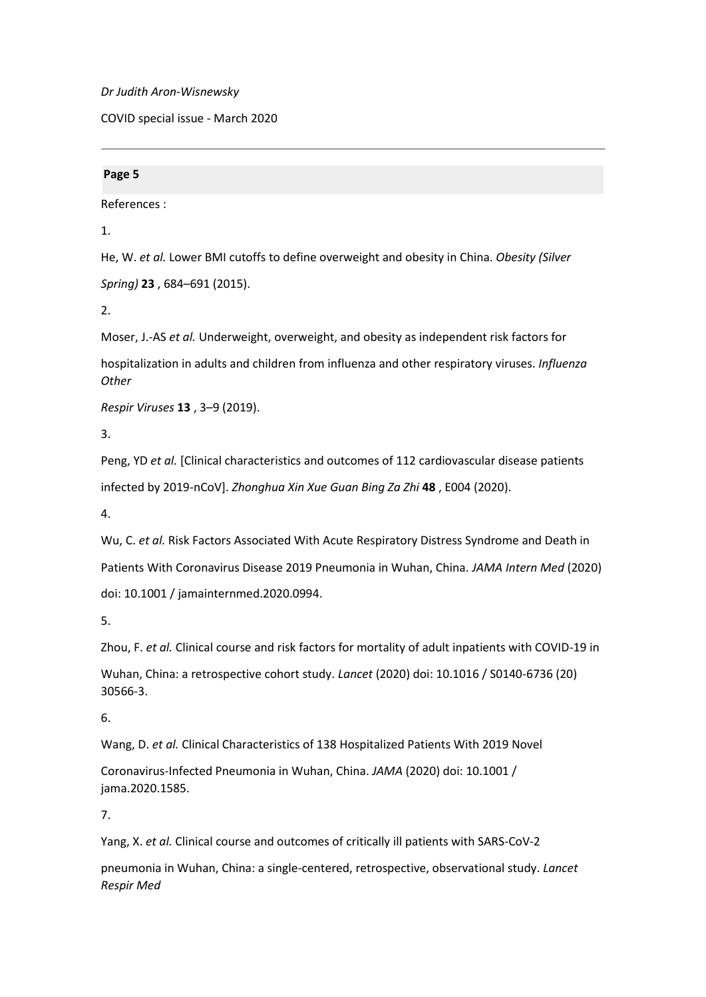*Dr Judith Aron-Wisnewsky*

COVID special issue - March 2020

### **Page 5**

References :

1.

He, W. *et al.* Lower BMI cutoffs to define overweight and obesity in China. *Obesity (Silver Spring)* **23** , 684–691 (2015).

2.

Moser, J.-AS *et al.* Underweight, overweight, and obesity as independent risk factors for hospitalization in adults and children from influenza and other respiratory viruses. *Influenza Other*

*Respir Viruses* **13** , 3–9 (2019).

3.

Peng, YD *et al.* [Clinical characteristics and outcomes of 112 cardiovascular disease patients infected by 2019-nCoV]. *Zhonghua Xin Xue Guan Bing Za Zhi* **48** , E004 (2020).

4.

Wu, C. *et al.* Risk Factors Associated With Acute Respiratory Distress Syndrome and Death in Patients With Coronavirus Disease 2019 Pneumonia in Wuhan, China. *JAMA Intern Med* (2020) doi: 10.1001 / jamainternmed.2020.0994.

5.

Zhou, F. *et al.* Clinical course and risk factors for mortality of adult inpatients with COVID-19 in

Wuhan, China: a retrospective cohort study. *Lancet* (2020) doi: 10.1016 / S0140-6736 (20) 30566-3.

6.

Wang, D. *et al.* Clinical Characteristics of 138 Hospitalized Patients With 2019 Novel

Coronavirus-Infected Pneumonia in Wuhan, China. *JAMA* (2020) doi: 10.1001 / jama.2020.1585.

7.

Yang, X. *et al.* Clinical course and outcomes of critically ill patients with SARS-CoV-2

pneumonia in Wuhan, China: a single-centered, retrospective, observational study. *Lancet Respir Med*